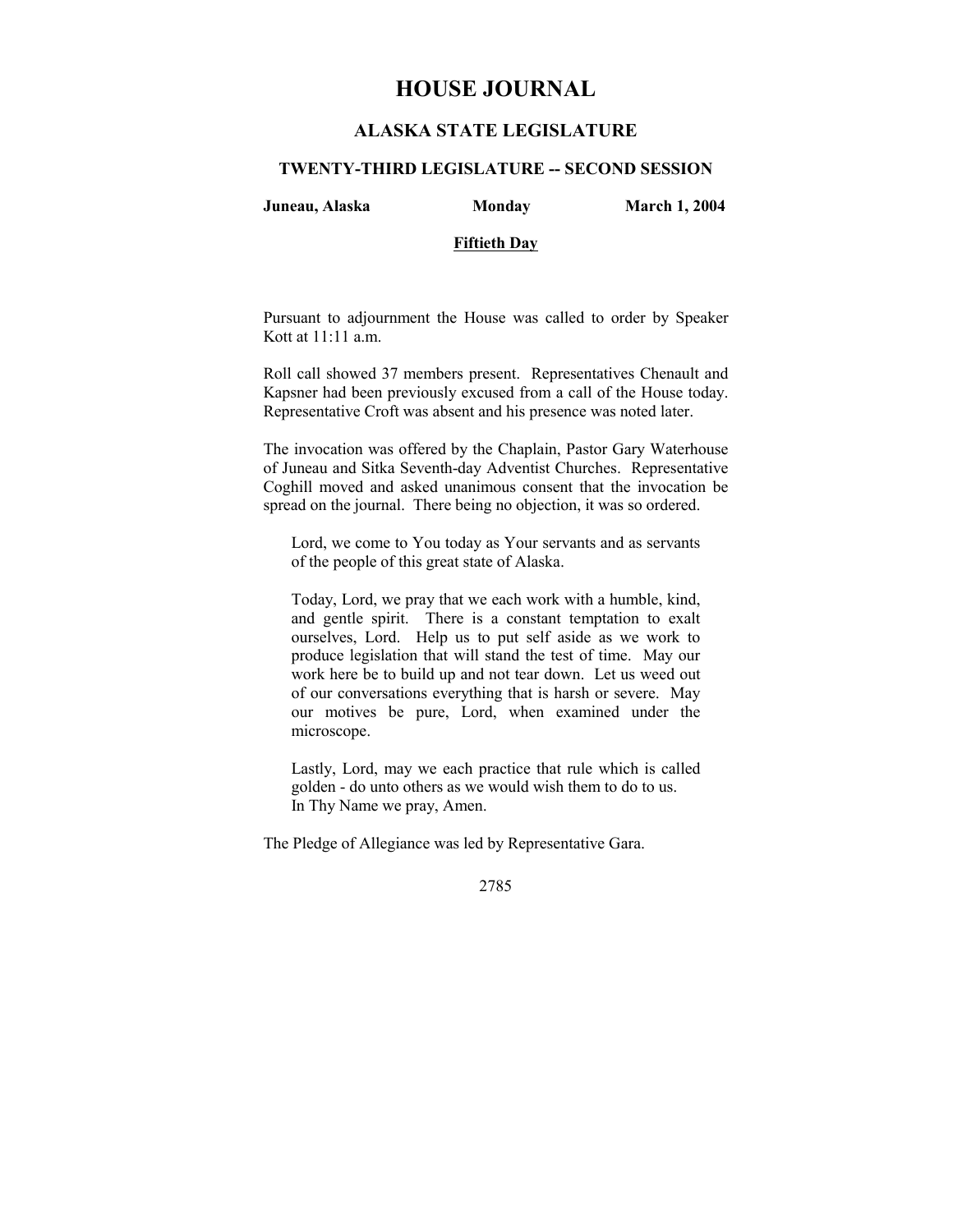# **HOUSE JOURNAL**

## **ALASKA STATE LEGISLATURE**

#### **TWENTY-THIRD LEGISLATURE -- SECOND SESSION**

**Juneau, Alaska Monday March 1, 2004** 

## **Fiftieth Day**

Pursuant to adjournment the House was called to order by Speaker Kott at 11:11 a.m.

Roll call showed 37 members present. Representatives Chenault and Kapsner had been previously excused from a call of the House today. Representative Croft was absent and his presence was noted later.

The invocation was offered by the Chaplain, Pastor Gary Waterhouse of Juneau and Sitka Seventh-day Adventist Churches. Representative Coghill moved and asked unanimous consent that the invocation be spread on the journal. There being no objection, it was so ordered.

Lord, we come to You today as Your servants and as servants of the people of this great state of Alaska.

Today, Lord, we pray that we each work with a humble, kind, and gentle spirit. There is a constant temptation to exalt ourselves, Lord. Help us to put self aside as we work to produce legislation that will stand the test of time. May our work here be to build up and not tear down. Let us weed out of our conversations everything that is harsh or severe. May our motives be pure, Lord, when examined under the microscope.

Lastly, Lord, may we each practice that rule which is called golden - do unto others as we would wish them to do to us. In Thy Name we pray, Amen.

The Pledge of Allegiance was led by Representative Gara.

2785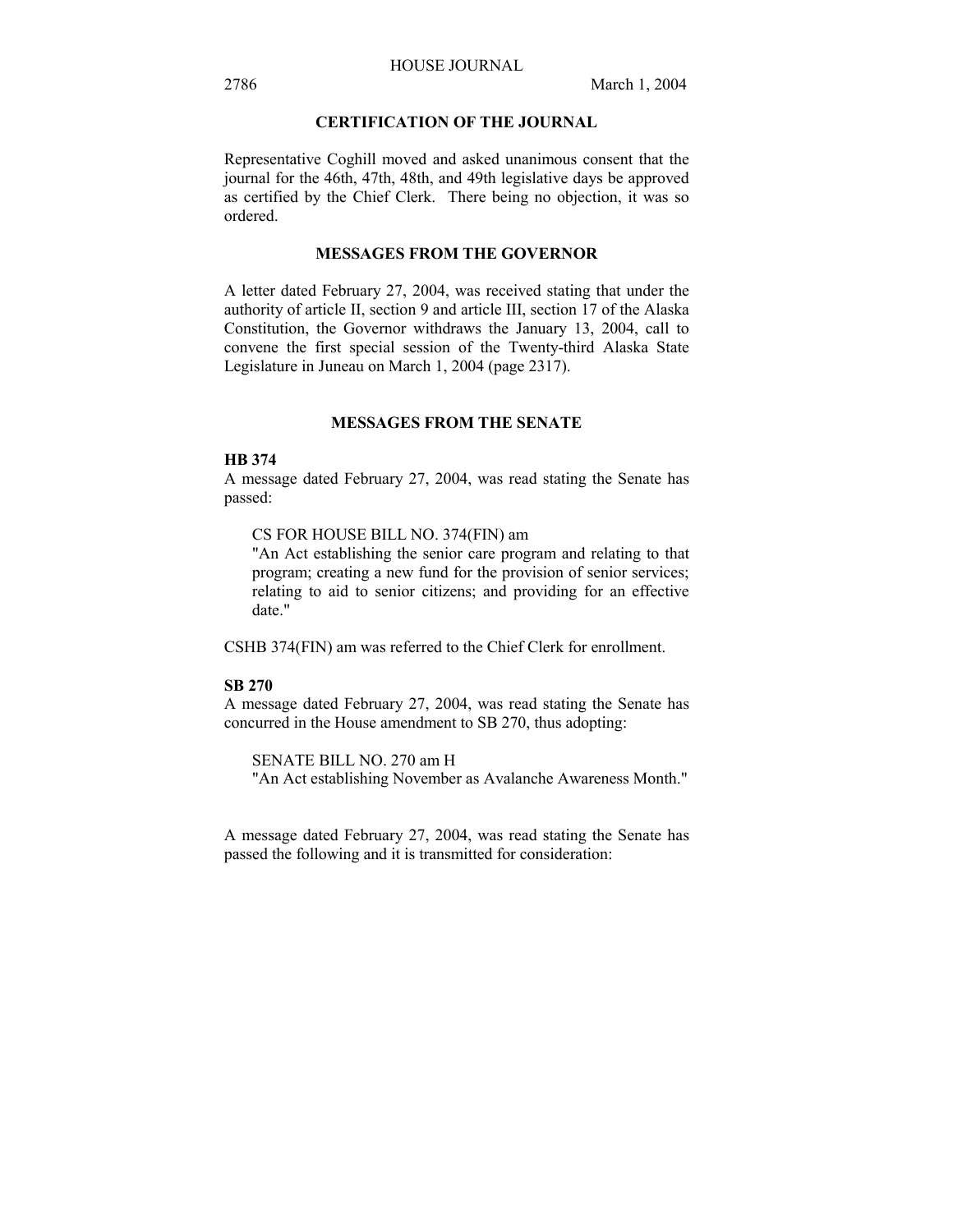## **CERTIFICATION OF THE JOURNAL**

Representative Coghill moved and asked unanimous consent that the journal for the 46th, 47th, 48th, and 49th legislative days be approved as certified by the Chief Clerk. There being no objection, it was so ordered.

### **MESSAGES FROM THE GOVERNOR**

A letter dated February 27, 2004, was received stating that under the authority of article II, section 9 and article III, section 17 of the Alaska Constitution, the Governor withdraws the January 13, 2004, call to convene the first special session of the Twenty-third Alaska State Legislature in Juneau on March 1, 2004 (page 2317).

#### **MESSAGES FROM THE SENATE**

#### **HB 374**

A message dated February 27, 2004, was read stating the Senate has passed:

CS FOR HOUSE BILL NO. 374(FIN) am

"An Act establishing the senior care program and relating to that program; creating a new fund for the provision of senior services; relating to aid to senior citizens; and providing for an effective date."

CSHB 374(FIN) am was referred to the Chief Clerk for enrollment.

#### **SB 270**

A message dated February 27, 2004, was read stating the Senate has concurred in the House amendment to SB 270, thus adopting:

SENATE BILL NO. 270 am H "An Act establishing November as Avalanche Awareness Month."

A message dated February 27, 2004, was read stating the Senate has passed the following and it is transmitted for consideration: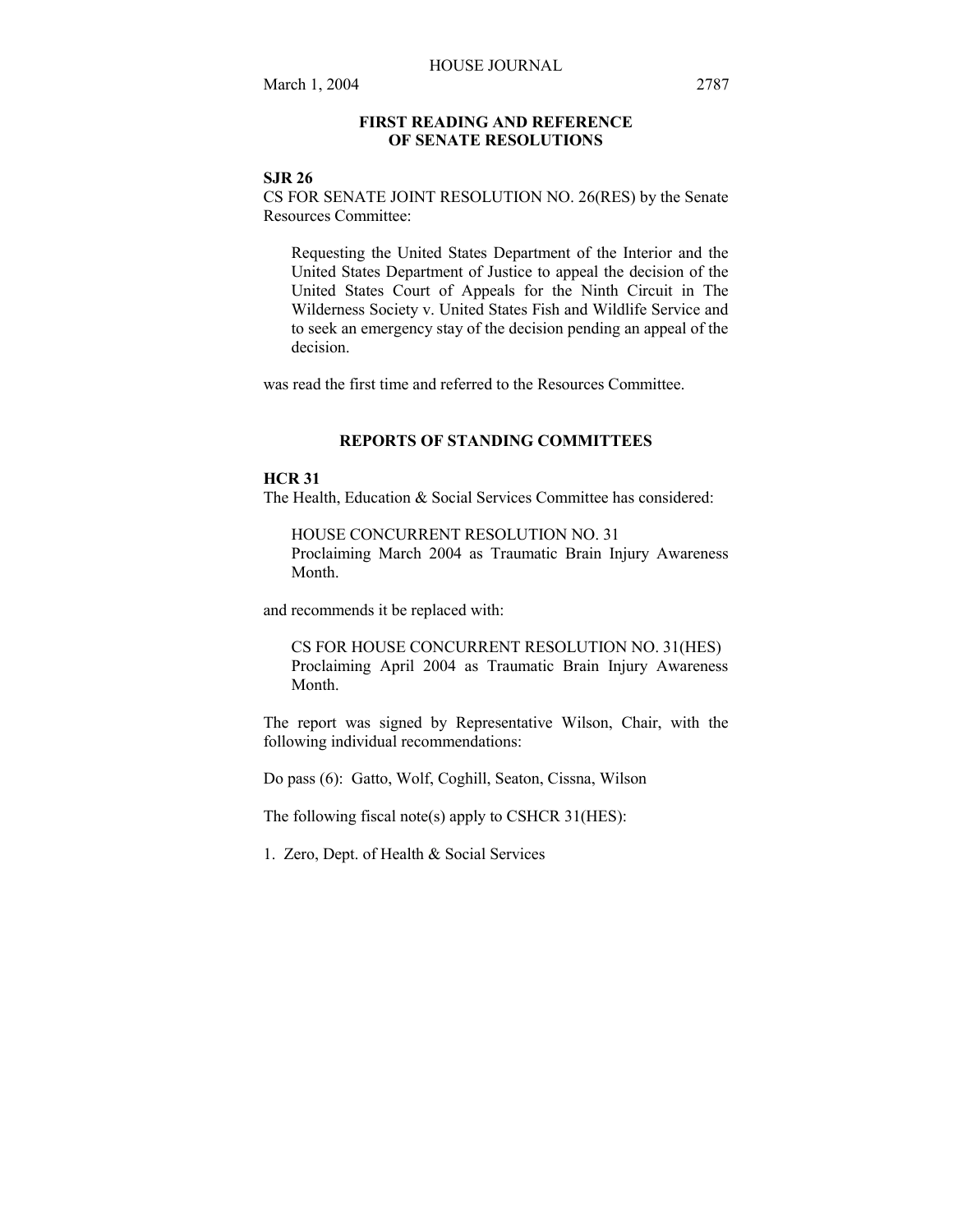## **FIRST READING AND REFERENCE OF SENATE RESOLUTIONS**

#### **SJR 26**

CS FOR SENATE JOINT RESOLUTION NO. 26(RES) by the Senate Resources Committee:

Requesting the United States Department of the Interior and the United States Department of Justice to appeal the decision of the United States Court of Appeals for the Ninth Circuit in The Wilderness Society v. United States Fish and Wildlife Service and to seek an emergency stay of the decision pending an appeal of the decision.

was read the first time and referred to the Resources Committee.

## **REPORTS OF STANDING COMMITTEES**

## **HCR 31**

The Health, Education & Social Services Committee has considered:

HOUSE CONCURRENT RESOLUTION NO. 31 Proclaiming March 2004 as Traumatic Brain Injury Awareness Month.

and recommends it be replaced with:

CS FOR HOUSE CONCURRENT RESOLUTION NO. 31(HES) Proclaiming April 2004 as Traumatic Brain Injury Awareness Month.

The report was signed by Representative Wilson, Chair, with the following individual recommendations:

Do pass (6): Gatto, Wolf, Coghill, Seaton, Cissna, Wilson

The following fiscal note(s) apply to CSHCR 31(HES):

1. Zero, Dept. of Health & Social Services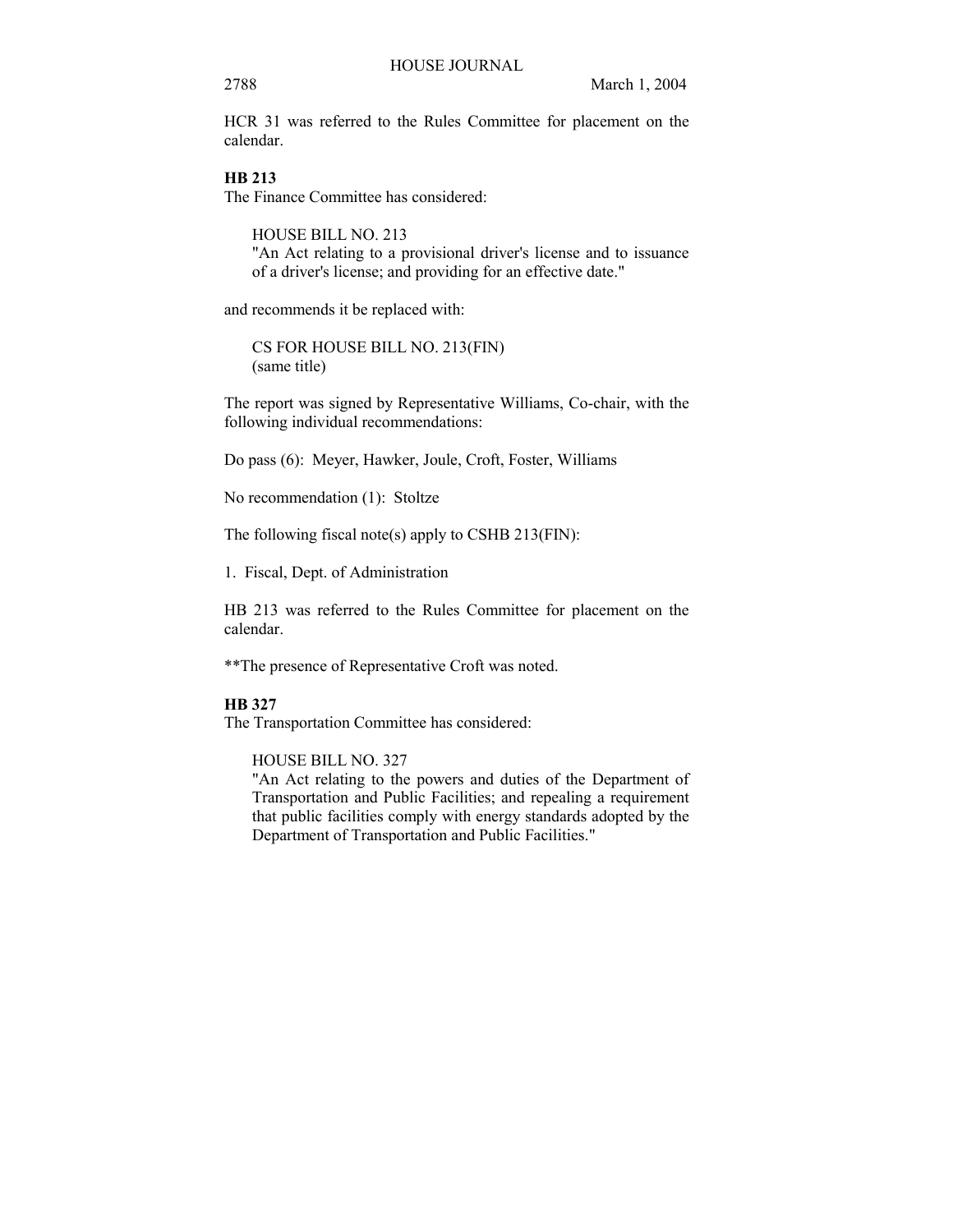### 2788 March 1, 2004

HCR 31 was referred to the Rules Committee for placement on the calendar.

## **HB 213**

The Finance Committee has considered:

HOUSE BILL NO. 213 "An Act relating to a provisional driver's license and to issuance of a driver's license; and providing for an effective date."

and recommends it be replaced with:

CS FOR HOUSE BILL NO. 213(FIN) (same title)

The report was signed by Representative Williams, Co-chair, with the following individual recommendations:

Do pass (6): Meyer, Hawker, Joule, Croft, Foster, Williams

No recommendation (1): Stoltze

The following fiscal note(s) apply to CSHB 213(FIN):

1. Fiscal, Dept. of Administration

HB 213 was referred to the Rules Committee for placement on the calendar.

\*\*The presence of Representative Croft was noted.

## **HB 327**

The Transportation Committee has considered:

HOUSE BILL NO. 327

"An Act relating to the powers and duties of the Department of Transportation and Public Facilities; and repealing a requirement that public facilities comply with energy standards adopted by the Department of Transportation and Public Facilities."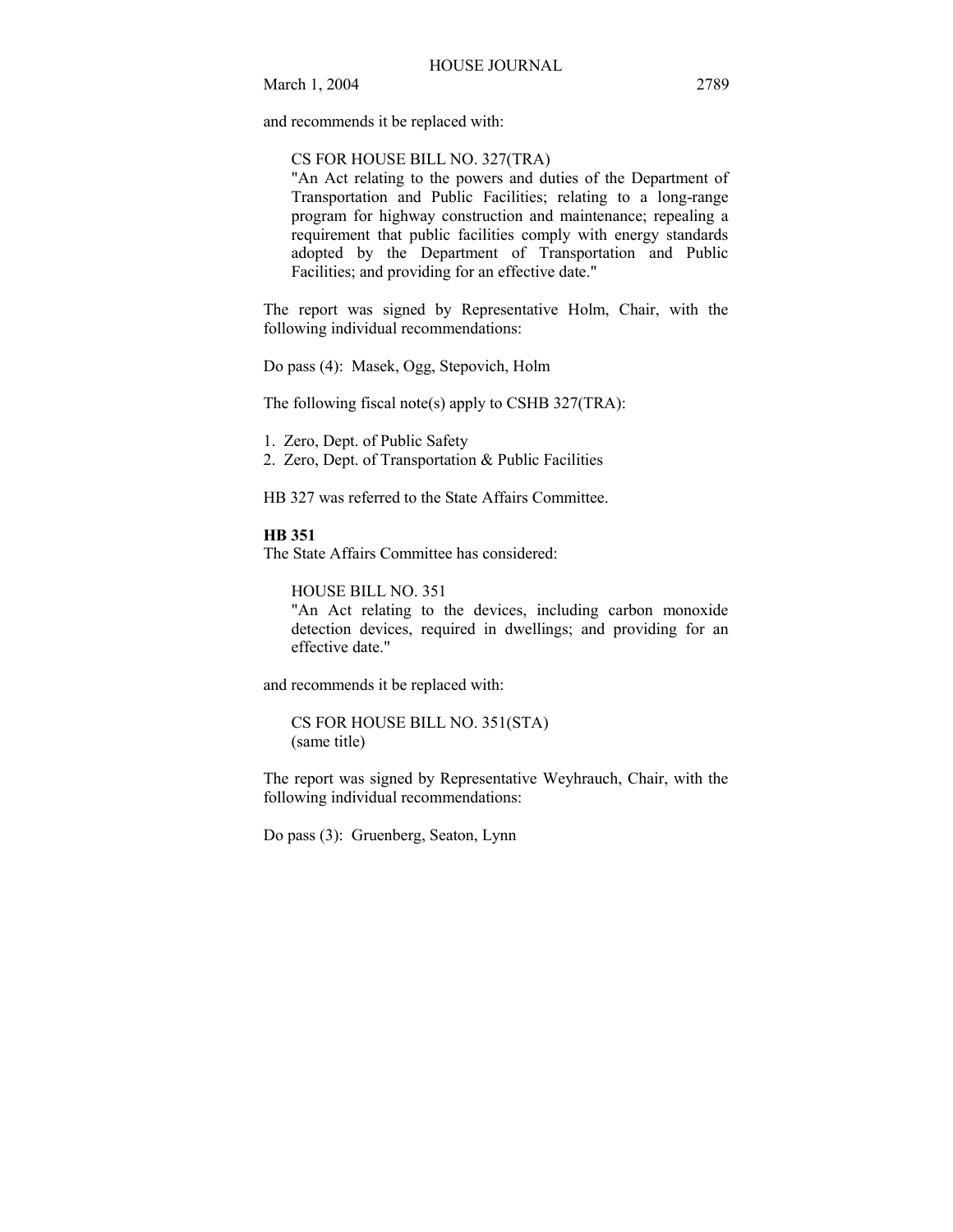and recommends it be replaced with:

#### CS FOR HOUSE BILL NO. 327(TRA)

"An Act relating to the powers and duties of the Department of Transportation and Public Facilities; relating to a long-range program for highway construction and maintenance; repealing a requirement that public facilities comply with energy standards adopted by the Department of Transportation and Public Facilities; and providing for an effective date."

The report was signed by Representative Holm, Chair, with the following individual recommendations:

Do pass (4): Masek, Ogg, Stepovich, Holm

The following fiscal note(s) apply to CSHB 327(TRA):

1. Zero, Dept. of Public Safety

2. Zero, Dept. of Transportation & Public Facilities

HB 327 was referred to the State Affairs Committee.

**HB 351**

The State Affairs Committee has considered:

HOUSE BILL NO. 351

"An Act relating to the devices, including carbon monoxide detection devices, required in dwellings; and providing for an effective date."

and recommends it be replaced with:

CS FOR HOUSE BILL NO. 351(STA) (same title)

The report was signed by Representative Weyhrauch, Chair, with the following individual recommendations:

Do pass (3): Gruenberg, Seaton, Lynn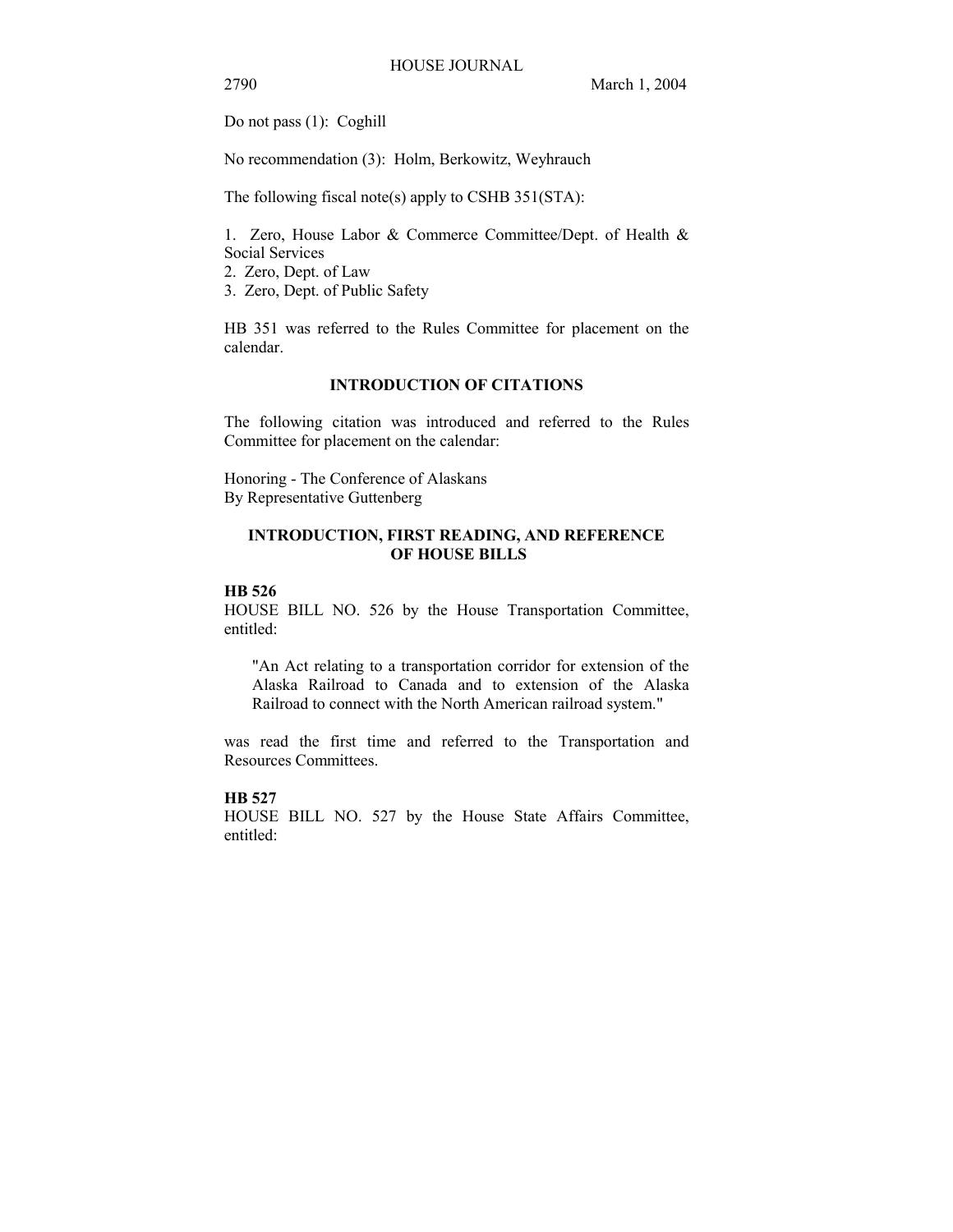2790 March 1, 2004

Do not pass (1): Coghill

No recommendation (3): Holm, Berkowitz, Weyhrauch

The following fiscal note(s) apply to CSHB 351(STA):

1. Zero, House Labor & Commerce Committee/Dept. of Health & Social Services

2. Zero, Dept. of Law

3. Zero, Dept. of Public Safety

HB 351 was referred to the Rules Committee for placement on the calendar.

## **INTRODUCTION OF CITATIONS**

The following citation was introduced and referred to the Rules Committee for placement on the calendar:

Honoring - The Conference of Alaskans By Representative Guttenberg

## **INTRODUCTION, FIRST READING, AND REFERENCE OF HOUSE BILLS**

## **HB 526**

HOUSE BILL NO. 526 by the House Transportation Committee, entitled:

"An Act relating to a transportation corridor for extension of the Alaska Railroad to Canada and to extension of the Alaska Railroad to connect with the North American railroad system."

was read the first time and referred to the Transportation and Resources Committees.

## **HB 527**

HOUSE BILL NO. 527 by the House State Affairs Committee, entitled: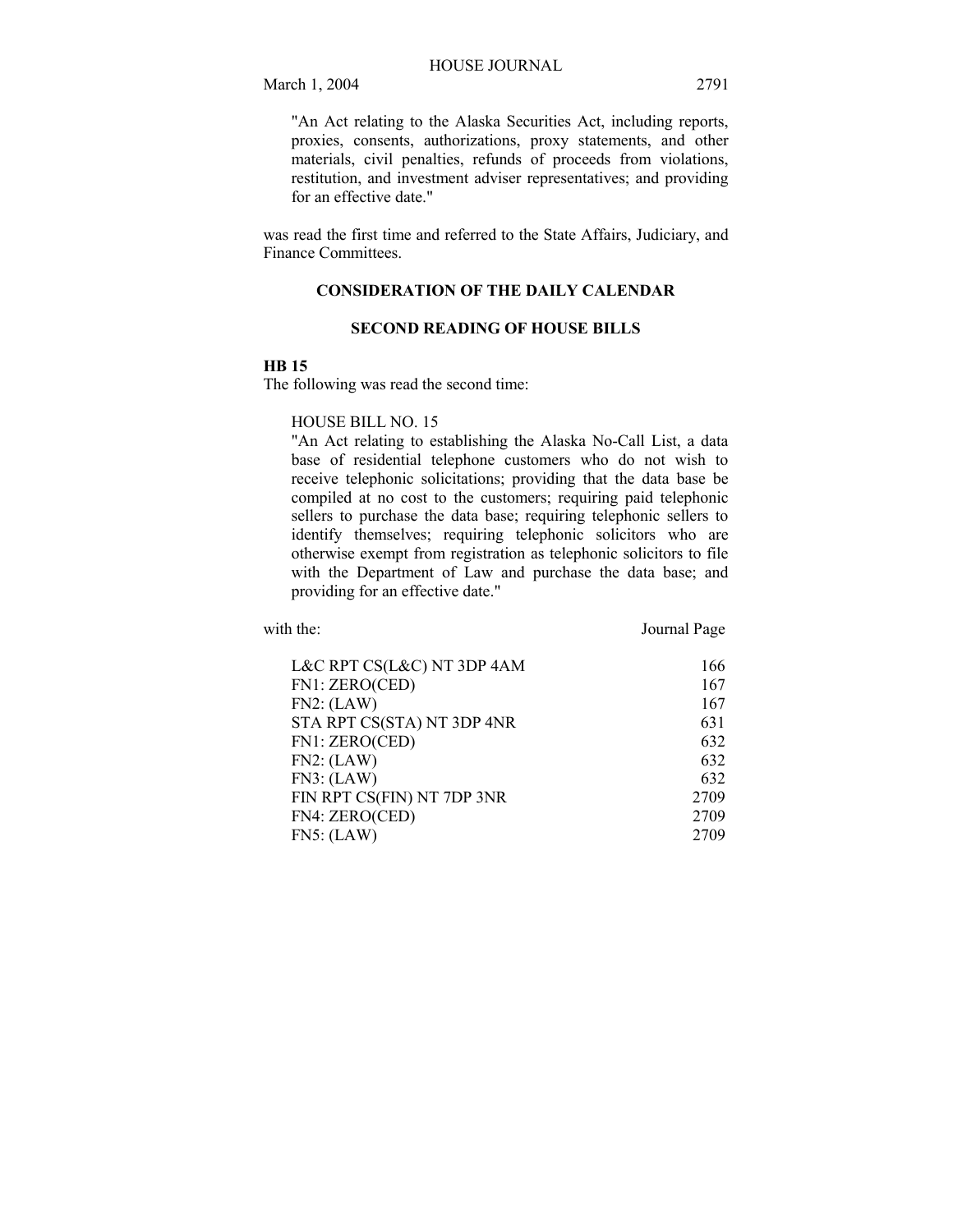March 1, 2004 2791

"An Act relating to the Alaska Securities Act, including reports, proxies, consents, authorizations, proxy statements, and other materials, civil penalties, refunds of proceeds from violations, restitution, and investment adviser representatives; and providing for an effective date."

was read the first time and referred to the State Affairs, Judiciary, and Finance Committees.

## **CONSIDERATION OF THE DAILY CALENDAR**

#### **SECOND READING OF HOUSE BILLS**

## **HB 15**

The following was read the second time:

#### HOUSE BILL NO. 15

"An Act relating to establishing the Alaska No-Call List, a data base of residential telephone customers who do not wish to receive telephonic solicitations; providing that the data base be compiled at no cost to the customers; requiring paid telephonic sellers to purchase the data base; requiring telephonic sellers to identify themselves; requiring telephonic solicitors who are otherwise exempt from registration as telephonic solicitors to file with the Department of Law and purchase the data base; and providing for an effective date."

with the: **Journal Page** 

| L&C RPT CS(L&C) NT 3DP 4AM | 166  |
|----------------------------|------|
| FN1: ZERO(CED)             | 167  |
| FN2: (LAW)                 | 167  |
| STA RPT CS(STA) NT 3DP 4NR | 631  |
| FN1: ZERO(CED)             | 632  |
| FN2: (LAW)                 | 632  |
| FN3: (LAW)                 | 632  |
| FIN RPT CS(FIN) NT 7DP 3NR | 2709 |
| FN4: ZERO(CED)             | 2709 |
| FN5: (LAW)                 | 2709 |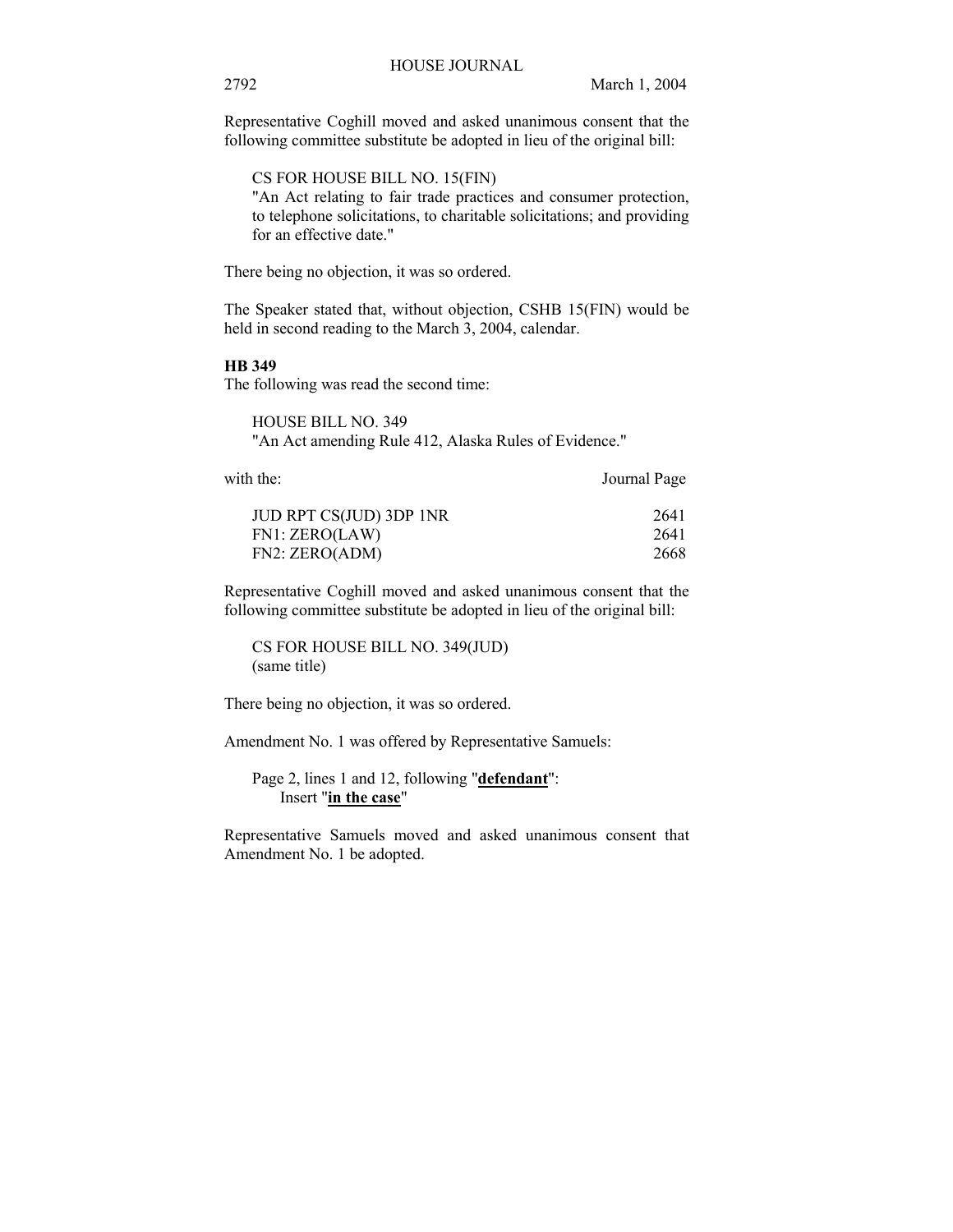Representative Coghill moved and asked unanimous consent that the following committee substitute be adopted in lieu of the original bill:

CS FOR HOUSE BILL NO. 15(FIN)

"An Act relating to fair trade practices and consumer protection, to telephone solicitations, to charitable solicitations; and providing for an effective date."

There being no objection, it was so ordered.

The Speaker stated that, without objection, CSHB 15(FIN) would be held in second reading to the March 3, 2004, calendar.

#### **HB 349**

The following was read the second time:

HOUSE BILL NO. 349 "An Act amending Rule 412, Alaska Rules of Evidence."

with the: Journal Page

| JUD RPT CS(JUD) 3DP 1NR | 2641 |
|-------------------------|------|
| FN1: ZERO(LAW)          | 2641 |
| FN2: ZERO(ADM)          | 2668 |

Representative Coghill moved and asked unanimous consent that the following committee substitute be adopted in lieu of the original bill:

CS FOR HOUSE BILL NO. 349(JUD) (same title)

There being no objection, it was so ordered.

Amendment No. 1 was offered by Representative Samuels:

Page 2, lines 1 and 12, following "**defendant**": Insert "**in the case**"

Representative Samuels moved and asked unanimous consent that Amendment No. 1 be adopted.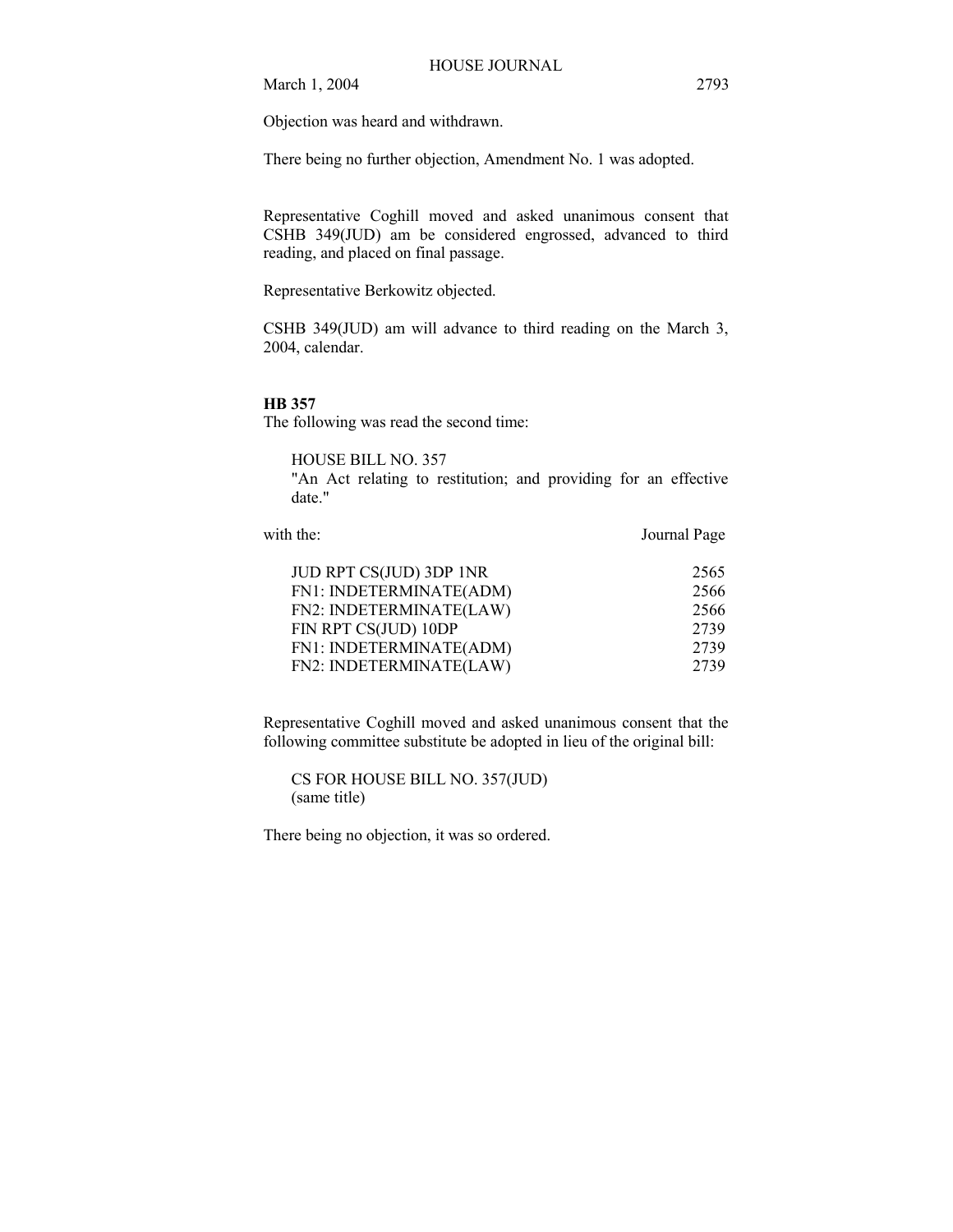March 1, 2004 2793

Objection was heard and withdrawn.

There being no further objection, Amendment No. 1 was adopted.

Representative Coghill moved and asked unanimous consent that CSHB 349(JUD) am be considered engrossed, advanced to third reading, and placed on final passage.

Representative Berkowitz objected.

CSHB 349(JUD) am will advance to third reading on the March 3, 2004, calendar.

#### **HB 357**

The following was read the second time:

HOUSE BILL NO. 357

"An Act relating to restitution; and providing for an effective date."

| with the:               | Journal Page |
|-------------------------|--------------|
| JUD RPT CS(JUD) 3DP 1NR | 2565         |
| FN1: INDETERMINATE(ADM) | 2566         |
| FN2: INDETERMINATE(LAW) | 2566         |
| FIN RPT CS(JUD) 10DP    | 2739         |
| FN1: INDETERMINATE(ADM) | 2739         |
| FN2: INDETERMINATE(LAW) | 2739         |
|                         |              |

Representative Coghill moved and asked unanimous consent that the following committee substitute be adopted in lieu of the original bill:

CS FOR HOUSE BILL NO. 357(JUD) (same title)

There being no objection, it was so ordered.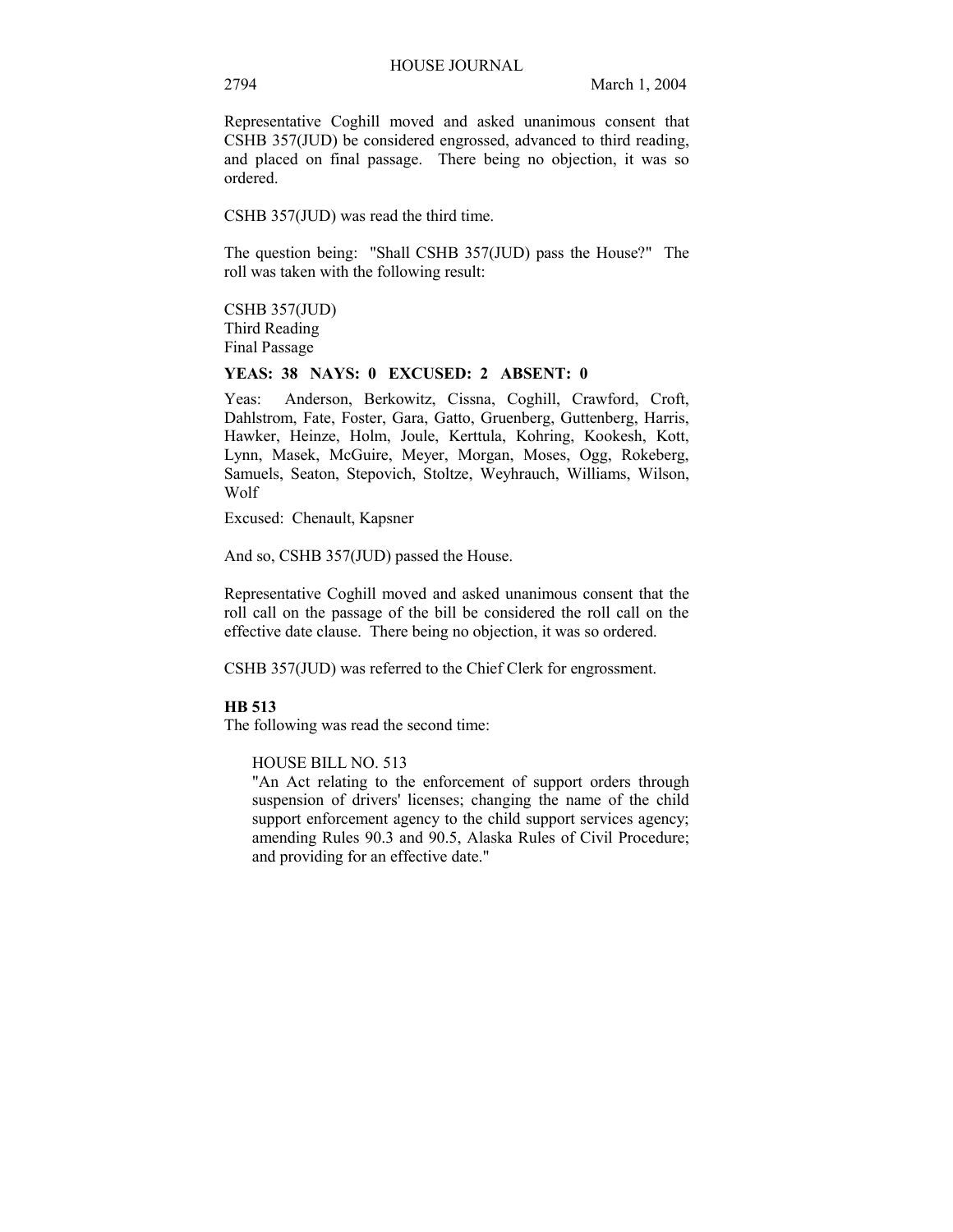Representative Coghill moved and asked unanimous consent that CSHB 357(JUD) be considered engrossed, advanced to third reading, and placed on final passage. There being no objection, it was so ordered.

CSHB 357(JUD) was read the third time.

The question being: "Shall CSHB 357(JUD) pass the House?" The roll was taken with the following result:

CSHB 357(JUD) Third Reading Final Passage

#### **YEAS: 38 NAYS: 0 EXCUSED: 2 ABSENT: 0**

Yeas: Anderson, Berkowitz, Cissna, Coghill, Crawford, Croft, Dahlstrom, Fate, Foster, Gara, Gatto, Gruenberg, Guttenberg, Harris, Hawker, Heinze, Holm, Joule, Kerttula, Kohring, Kookesh, Kott, Lynn, Masek, McGuire, Meyer, Morgan, Moses, Ogg, Rokeberg, Samuels, Seaton, Stepovich, Stoltze, Weyhrauch, Williams, Wilson, Wolf

Excused: Chenault, Kapsner

And so, CSHB 357(JUD) passed the House.

Representative Coghill moved and asked unanimous consent that the roll call on the passage of the bill be considered the roll call on the effective date clause. There being no objection, it was so ordered.

CSHB 357(JUD) was referred to the Chief Clerk for engrossment.

#### **HB 513**

The following was read the second time:

#### HOUSE BILL NO. 513

"An Act relating to the enforcement of support orders through suspension of drivers' licenses; changing the name of the child support enforcement agency to the child support services agency; amending Rules 90.3 and 90.5, Alaska Rules of Civil Procedure; and providing for an effective date."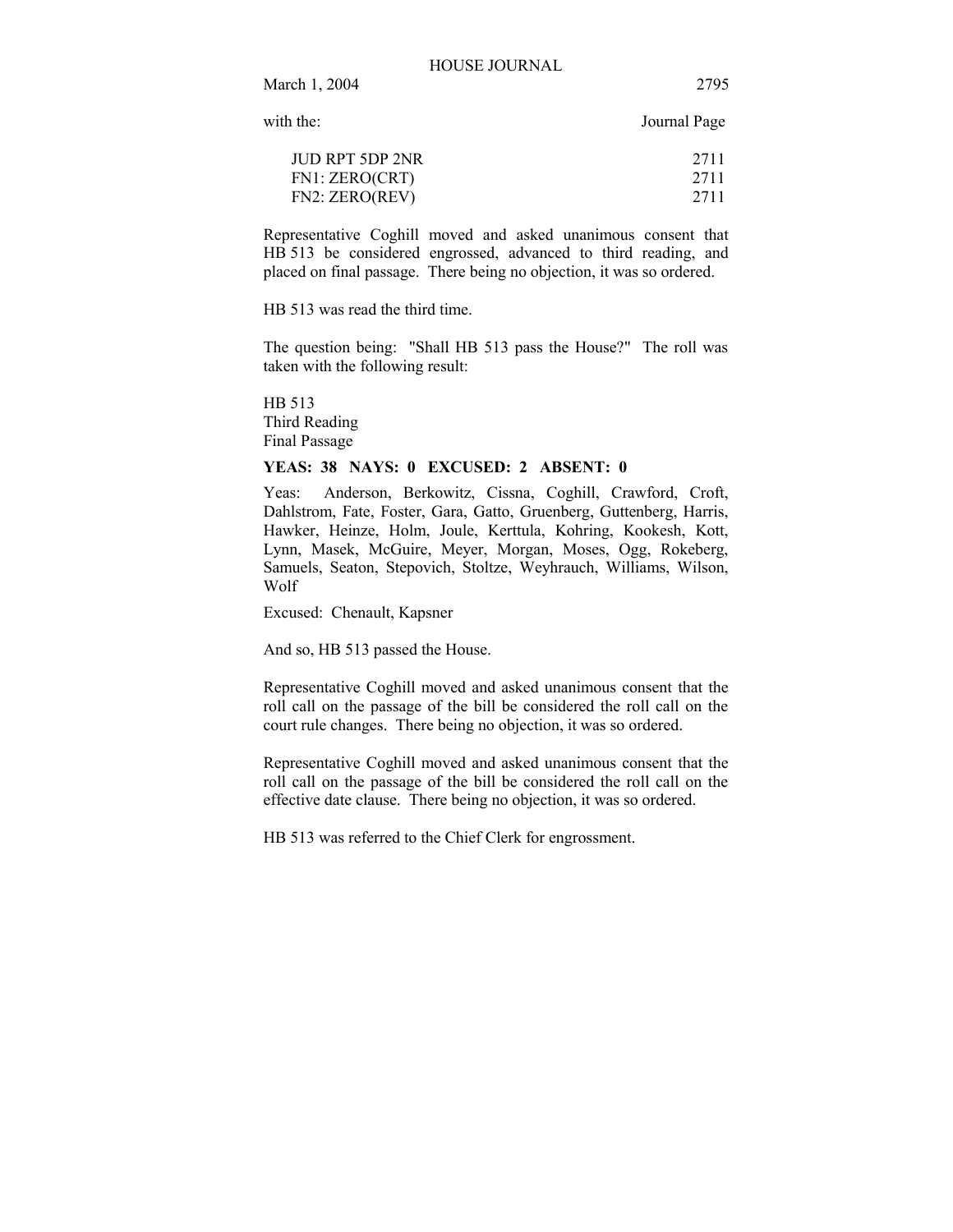March 1, 2004 2795

with the: Journal Page

| JUD RPT 5DP 2NR | 2711 |
|-----------------|------|
| FN1: ZERO(CRT)  | 2711 |
| FN2: ZERO(REV)  | 2711 |

Representative Coghill moved and asked unanimous consent that HB 513 be considered engrossed, advanced to third reading, and placed on final passage. There being no objection, it was so ordered.

HB 513 was read the third time.

The question being: "Shall HB 513 pass the House?" The roll was taken with the following result:

HB 513 Third Reading Final Passage

#### **YEAS: 38 NAYS: 0 EXCUSED: 2 ABSENT: 0**

Yeas: Anderson, Berkowitz, Cissna, Coghill, Crawford, Croft, Dahlstrom, Fate, Foster, Gara, Gatto, Gruenberg, Guttenberg, Harris, Hawker, Heinze, Holm, Joule, Kerttula, Kohring, Kookesh, Kott, Lynn, Masek, McGuire, Meyer, Morgan, Moses, Ogg, Rokeberg, Samuels, Seaton, Stepovich, Stoltze, Weyhrauch, Williams, Wilson, Wolf

Excused: Chenault, Kapsner

And so, HB 513 passed the House.

Representative Coghill moved and asked unanimous consent that the roll call on the passage of the bill be considered the roll call on the court rule changes. There being no objection, it was so ordered.

Representative Coghill moved and asked unanimous consent that the roll call on the passage of the bill be considered the roll call on the effective date clause. There being no objection, it was so ordered.

HB 513 was referred to the Chief Clerk for engrossment.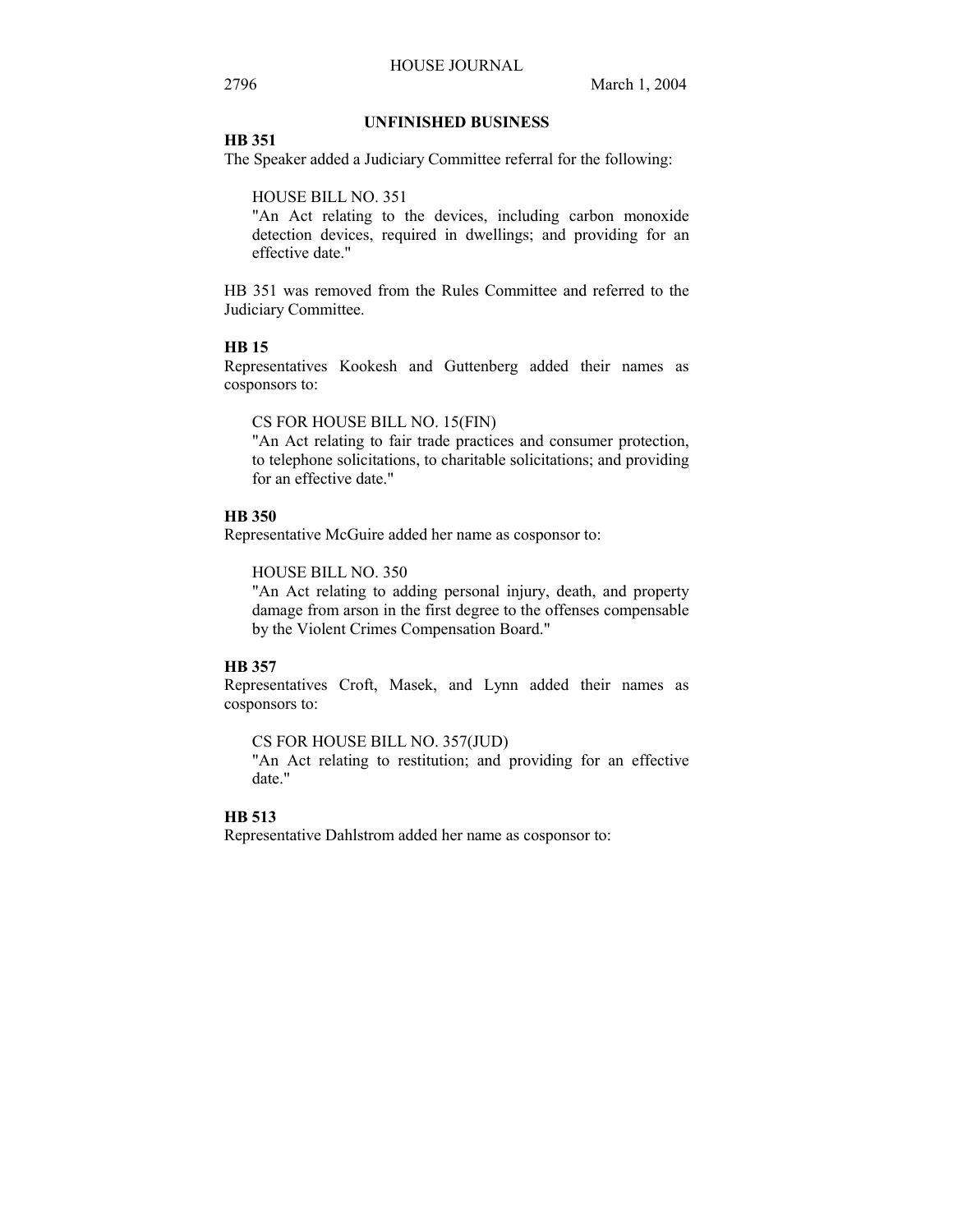## **UNFINISHED BUSINESS**

## **HB 351**

The Speaker added a Judiciary Committee referral for the following:

HOUSE BILL NO. 351

"An Act relating to the devices, including carbon monoxide detection devices, required in dwellings; and providing for an effective date."

HB 351 was removed from the Rules Committee and referred to the Judiciary Committee.

## **HB 15**

Representatives Kookesh and Guttenberg added their names as cosponsors to:

CS FOR HOUSE BILL NO. 15(FIN)

"An Act relating to fair trade practices and consumer protection, to telephone solicitations, to charitable solicitations; and providing for an effective date."

## **HB 350**

Representative McGuire added her name as cosponsor to:

HOUSE BILL NO. 350

"An Act relating to adding personal injury, death, and property damage from arson in the first degree to the offenses compensable by the Violent Crimes Compensation Board."

## **HB 357**

Representatives Croft, Masek, and Lynn added their names as cosponsors to:

CS FOR HOUSE BILL NO. 357(JUD)

"An Act relating to restitution; and providing for an effective date."

## **HB 513**

Representative Dahlstrom added her name as cosponsor to: